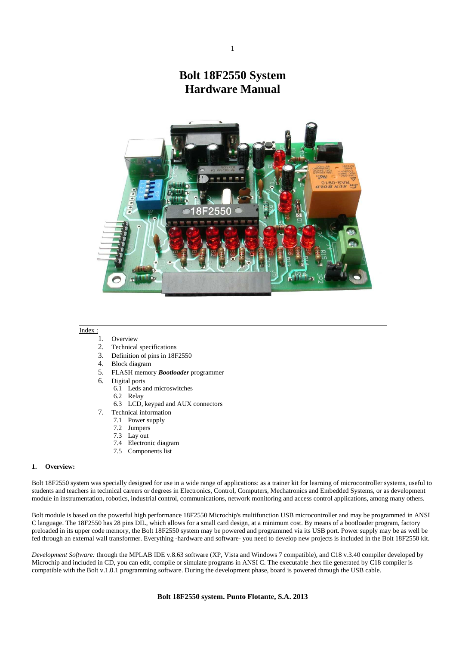# **Bolt 18F2550 System Hardware Manual**



# Index :

- 1. Overview
- 2. Technical specifications
- 3. Definition of pins in 18F2550
- 4. Block diagram
- 5. FLASH memory *Bootloader* programmer
- 6. Digital ports
	- 6.1 Leds and microswitches
	- 6.2 Relay
	- 6.3 LCD, keypad and AUX connectors
- 7. Technical information
	- 7.1 Power supply
	- 7.2 Jumpers
	- 7.3 Lay out
	- 7.4 Electronic diagram
	- 7.5 Components list

### **1. Overview:**

Bolt 18F2550 system was specially designed for use in a wide range of applications: as a trainer kit for learning of microcontroller systems, useful to students and teachers in technical careers or degrees in Electronics, Control, Computers, Mechatronics and Embedded Systems, or as development module in instrumentation, robotics, industrial control, communications, network monitoring and access control applications, among many others.

Bolt module is based on the powerful high performance 18F2550 Microchip's multifunction USB microcontroller and may be programmed in ANSI C language. The 18F2550 has 28 pins DIL, which allows for a small card design, at a minimum cost. By means of a bootloader program, factory preloaded in its upper code memory, the Bolt 18F2550 system may be powered and programmed via its USB port. Power supply may be as well be fed through an external wall transformer. Everything -hardware and software- you need to develop new projects is included in the Bolt 18F2550 kit.

*Development Software:* through the MPLAB IDE v.8.63 software (XP, Vista and Windows 7 compatible), and C18 v.3.40 compiler developed by Microchip and included in CD, you can edit, compile or simulate programs in ANSI C. The executable .hex file generated by C18 compiler is compatible with the Bolt v.1.0.1 programming software. During the development phase, board is powered through the USB cable.

## **Bolt 18F2550 system. Punto Flotante, S.A. 2013**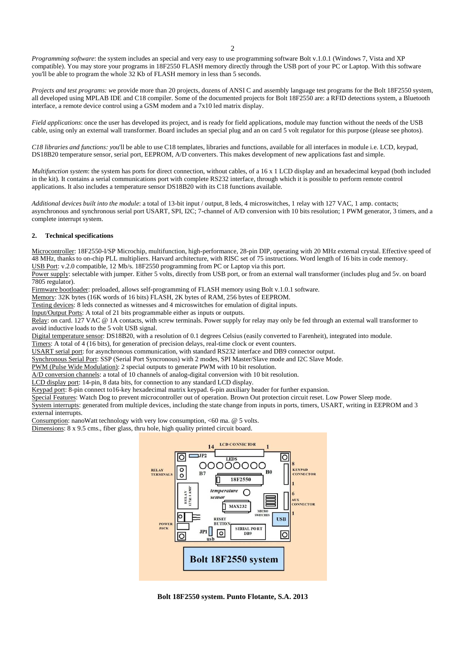*Programming software*: the system includes an special and very easy to use programming software Bolt v.1.0.1 (Windows 7, Vista and XP compatible). You may store your programs in 18F2550 FLASH memory directly through the USB port of your PC or Laptop. With this software you'll be able to program the whole 32 Kb of FLASH memory in less than 5 seconds.

*Projects and test programs: w*e provide more than 20 projects, dozens of ANSI C and assembly language test programs for the Bolt 18F2550 system, all developed using MPLAB IDE and C18 compiler. Some of the documented projects for Bolt 18F2550 are: a RFID detections system, a Bluetooth interface, a remote device control using a GSM modem and a 7x10 led matrix display.

*Field applications*: once the user has developed its project, and is ready for field applications, module may function without the needs of the USB cable, using only an external wall transformer. Board includes an special plug and an on card 5 volt regulator for this purpose (please see photos).

*C18 libraries and functions: y*ou'll be able to use C18 templates, libraries and functions, available for all interfaces in module i.e. LCD, keypad, DS18B20 temperature sensor, serial port, EEPROM, A/D converters. This makes development of new applications fast and simple.

*Multifunction system*: the system has ports for direct connection, without cables, of a 16 x 1 LCD display and an hexadecimal keypad (both included in the kit). It contains a serial communications port with complete RS232 interface, through which it is possible to perform remote control applications. It also includes a temperature sensor DS18B20 with its C18 functions available.

*Additional devices built into the module*: a total of 13-bit input / output, 8 leds, 4 microswitches, 1 relay with 127 VAC, 1 amp. contacts; asynchronous and synchronous serial port USART, SPI, I2C; 7-channel of A/D conversion with 10 bits resolution; 1 PWM generator, 3 timers, and a complete interrupt system.

# **2. Technical specifications**

Microcontroller: 18F2550-I/SP Microchip, multifunction, high-performance, 28-pin DIP, operating with 20 MHz external crystal. Effective speed of 48 MHz, thanks to on-chip PLL multipliers. Harvard architecture, with RISC set of 75 instructions. Word length of 16 bits in code memory. USB Port: v.2.0 compatible, 12 Mb/s. 18F2550 programming from PC or Laptop via this port.

Power supply: selectable with jumper. Either 5 volts, directly from USB port, or from an external wall transformer (includes plug and 5v. on board 7805 regulator).

Firmware bootloader: preloaded, allows self-programming of FLASH memory using Bolt v.1.0.1 software.

Memory: 32K bytes (16K words of 16 bits) FLASH, 2K bytes of RAM, 256 bytes of EEPROM.

Testing devices: 8 leds connected as witnesses and 4 microswitches for emulation of digital inputs.

Input/Output Ports: A total of 21 bits programmable either as inputs or outputs.

Relay: on card. 127 VAC @ 1A contacts, with screw terminals. Power supply for relay may only be fed through an external wall transformer to avoid inductive loads to the 5 volt USB signal.

Digital temperature sensor: DS18B20, with a resolution of 0.1 degrees Celsius (easily converted to Farenheit), integrated into module.

Timers: A total of 4 (16 bits), for generation of precision delays, real-time clock or event counters.

USART serial port: for asynchronous communication, with standard RS232 interface and DB9 connector output.

Synchronous Serial Port: SSP (Serial Port Syncronous) with 2 modes, SPI Master/Slave mode and I2C Slave Mode.

PWM (Pulse Wide Modulation): 2 special outputs to generate PWM with 10 bit resolution.

A/D conversion channels: a total of 10 channels of analog-digital conversion with 10 bit resolution.

LCD display port: 14-pin, 8 data bits, for connection to any standard LCD display.

Keypad port: 8-pin connect to16-key hexadecimal matrix keypad. 6-pin auxiliary header for further expansion.

Special Features: Watch Dog to prevent microcontroller out of operation. Brown Out protection circuit reset. Low Power Sleep mode.

System interrupts: generated from multiple devices, including the state change from inputs in ports, timers, USART, writing in EEPROM and 3 external interrupts.

Consumption: nanoWatt technology with very low consumption, <60 ma. @ 5 volts.

Dimensions: 8 x 9.5 cms., fiber glass, thru hole, high quality printed circuit board.

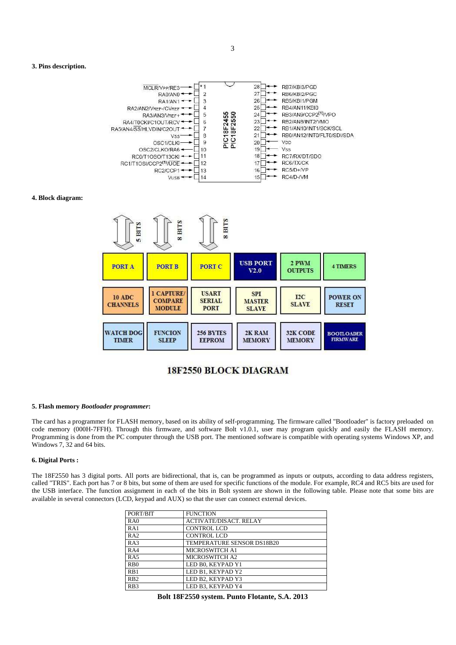#### **3. Pins description.**



# **4. Block diagram:**



# 18F2550 BLOCK DIAGRAM

#### **5. Flash memory** *Bootloader programmer***:**

The card has a programmer for FLASH memory, based on its ability of self-programming. The firmware called "Bootloader" is factory preloaded on code memory (000H-7FFH). Through this firmware, and software Bolt v1.0.1, user may program quickly and easily the FLASH memory. Programming is done from the PC computer through the USB port. The mentioned software is compatible with operating systems Windows XP, and Windows 7, 32 and 64 bits.

# **6. Digital Ports :**

The 18F2550 has 3 digital ports. All ports are bidirectional, that is, can be programmed as inputs or outputs, according to data address registers, called "TRIS". Each port has 7 or 8 bits, but some of them are used for specific functions of the module. For example, RC4 and RC5 bits are used for the USB interface. The function assignment in each of the bits in Bolt system are shown in the following table. Please note that some bits are available in several connectors (LCD, keypad and AUX) so that the user can connect external devices.

| PORT/BIT         | <b>FUNCTION</b>               |
|------------------|-------------------------------|
| RA0              | <b>ACTIVATE/DISACT. RELAY</b> |
| RA1              | <b>CONTROL LCD</b>            |
| RA2              | <b>CONTROL LCD</b>            |
| RA3              | TEMPERATURE SENSOR DS18B20    |
| RA4              | <b>MICROSWITCH A1</b>         |
| RA5              | MICROSWITCH A2                |
| R <sub>B</sub> 0 | LED B0, KEYPAD Y1             |
| RB1              | LED B1. KEYPAD Y2             |
| RB2              | LED B2, KEYPAD Y3             |
| R <sub>B</sub> 3 | LED B3, KEYPAD Y4             |

**Bolt 18F2550 system. Punto Flotante, S.A. 2013**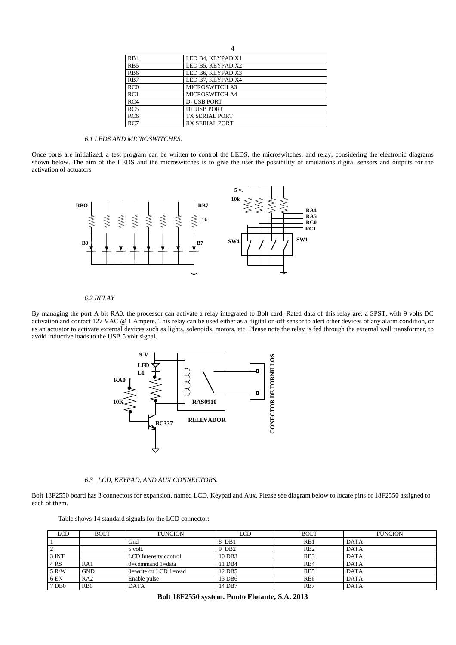| R <sub>B4</sub>  | LED B4, KEYPAD X1     |
|------------------|-----------------------|
| R <sub>B5</sub>  | LED B5, KEYPAD X2     |
| RB <sub>6</sub>  | LED B6, KEYPAD X3     |
| R <sub>B</sub> 7 | LED B7. KEYPAD X4     |
| RC0              | MICROSWITCH A3        |
| RC1              | <b>MICROSWITCH A4</b> |
| RC4              | <b>D-USB PORT</b>     |
| RC5              | D+ USB PORT           |
| RC <sub>6</sub>  | <b>TX SERIAL PORT</b> |
| RC7              | <b>RX SERIAL PORT</b> |

4

# *6.1 LEDS AND MICROSWITCHES:*

Once ports are initialized, a test program can be written to control the LEDS, the microswitches, and relay, considering the electronic diagrams shown below. The aim of the LEDS and the microswitches is to give the user the possibility of emulations digital sensors and outputs for the activation of actuators.



# *6.2 RELAY*

By managing the port A bit RA0, the processor can activate a relay integrated to Bolt card. Rated data of this relay are: a SPST, with 9 volts DC activation and contact 127 VAC @ 1 Ampere. This relay can be used either as a digital on-off sensor to alert other devices of any alarm condition, or as an actuator to activate external devices such as lights, solenoids, motors, etc. Please note the relay is fed through the external wall transformer, to avoid inductive loads to the USB 5 volt signal.



*6.3 LCD, KEYPAD, AND AUX CONNECTORS.* 

Bolt 18F2550 board has 3 connectors for expansion, named LCD, Keypad and Aux. Please see diagram below to locate pins of 18F2550 assigned to each of them.

| Table shows 14 standard signals for the LCD connector: |  |  |  |  |  |  |  |
|--------------------------------------------------------|--|--|--|--|--|--|--|
|--------------------------------------------------------|--|--|--|--|--|--|--|

| LCD              | <b>BOLT</b>      | <b>FUNCION</b>        | LCD               | <b>BOLT</b>     | <b>FUNCION</b> |
|------------------|------------------|-----------------------|-------------------|-----------------|----------------|
|                  |                  | Gnd                   | 8 DB1             | RB1             | <b>DATA</b>    |
|                  |                  | 5 volt.               | 9 DB <sub>2</sub> | RB2             | <b>DATA</b>    |
| 3 <sub>INT</sub> |                  | LCD Intensity control | 10 DB3            | RB3             | <b>DATA</b>    |
| 4 RS             | RA1              | $0$ =command 1=data   | 11 DB4            | R <sub>B4</sub> | <b>DATA</b>    |
| 5 R/W            | GND              | 0=write on LCD 1=read | 12 DB5            | R <sub>B5</sub> | <b>DATA</b>    |
| 6 EN             | RA2              | Enable pulse          | 13 DB6            | R <sub>B6</sub> | <b>DATA</b>    |
| D <sub>B</sub> 0 | R <sub>B</sub> 0 | DATA                  | 14 DB7            | RB7             | <b>DATA</b>    |

|  | Bolt 18F2550 system. Punto Flotante, S.A. 2013 |  |  |  |  |
|--|------------------------------------------------|--|--|--|--|
|--|------------------------------------------------|--|--|--|--|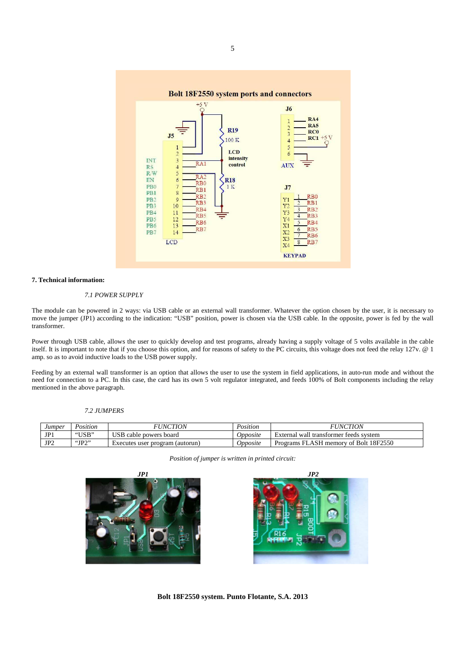

# **7. Technical information:**

# *7.1 POWER SUPPLY*

The module can be powered in 2 ways: via USB cable or an external wall transformer. Whatever the option chosen by the user, it is necessary to move the jumper (JP1) according to the indication: "USB" position, power is chosen via the USB cable. In the opposite, power is fed by the wall transformer.

Power through USB cable, allows the user to quickly develop and test programs, already having a supply voltage of 5 volts available in the cable itself. It is important to note that if you choose this option, and for reasons of safety to the PC circuits, this voltage does not feed the relay 127v. @ 1 amp. so as to avoid inductive loads to the USB power supply.

Feeding by an external wall transformer is an option that allows the user to use the system in field applications, in auto-run mode and without the need for connection to a PC. In this case, the card has its own 5 volt regulator integrated, and feeds 100% of Bolt components including the relay mentioned in the above paragraph.

## *7.2 JUMPERS*

| Jumper          | . .<br>Position                        | <i>FUNCTION</i>                 | Position | <i>FUNCTION</i>                             |
|-----------------|----------------------------------------|---------------------------------|----------|---------------------------------------------|
| JP1             | "USB"                                  | USB cable powers board          | Opposite | I wall transformer feeds system<br>External |
| JP <sub>2</sub> | $\left\langle \text{Lip}\right\rangle$ | Executes user program (autorun) | Opposite | LASH memory of Bolt 18F2550<br>Programs     |

*Position of jumper is written in printed circuit:* 





**Bolt 18F2550 system. Punto Flotante, S.A. 2013**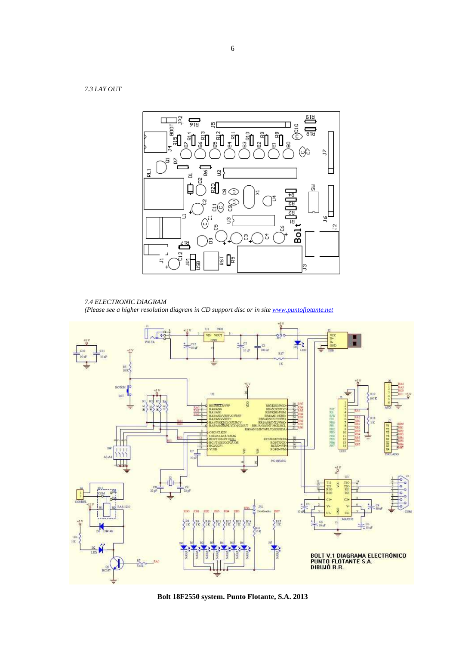*7.3 LAY OUT* 



*7.4 ELECTRONIC DIAGRAM (Please see a higher resolution diagram in CD support disc or in site www.puntoflotante.net*



**Bolt 18F2550 system. Punto Flotante, S.A. 2013**